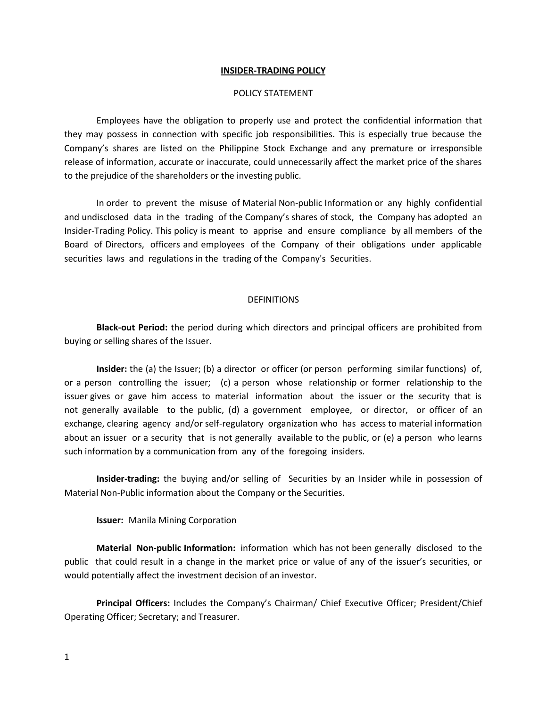#### **INSIDER-TRADING POLICY**

#### POLICY STATEMENT

Employees have the obligation to properly use and protect the confidential information that they may possess in connection with specific job responsibilities. This is especially true because the Company's shares are listed on the Philippine Stock Exchange and any premature or irresponsible release of information, accurate or inaccurate, could unnecessarily affect the market price of the shares to the prejudice of the shareholders or the investing public.

In order to prevent the misuse of Material Non-public Information or any highly confidential and undisclosed data in the trading of the Company's shares of stock, the Company has adopted an Insider-Trading Policy. This policy is meant to apprise and ensure compliance by all members of the Board of Directors, officers and employees of the Company of their obligations under applicable securities laws and regulations in the trading of the Company's Securities.

### **DEFINITIONS**

**Black-out Period:** the period during which directors and principal officers are prohibited from buying or selling shares of the Issuer.

**Insider:** the (a) the Issuer; (b) a director or officer (or person performing similar functions) of, or a person controlling the issuer; (c) a person whose relationship or former relationship to the issuer gives or gave him access to material information about the issuer or the security that is not generally available to the public, (d) a government employee, or director, or officer of an exchange, clearing agency and/or self-regulatory organization who has access to material information about an issuer or a security that is not generally available to the public, or (e) a person who learns such information by a communication from any of the foregoing insiders.

**Insider-trading:** the buying and/or selling of Securities by an Insider while in possession of Material Non-Public information about the Company or the Securities.

**Issuer:** Manila Mining Corporation

**Material Non-public Information:** information which has not been generally disclosed to the public that could result in a change in the market price or value of any of the issuer's securities, or would potentially affect the investment decision of an investor.

**Principal Officers:** Includes the Company's Chairman/ Chief Executive Officer; President/Chief Operating Officer; Secretary; and Treasurer.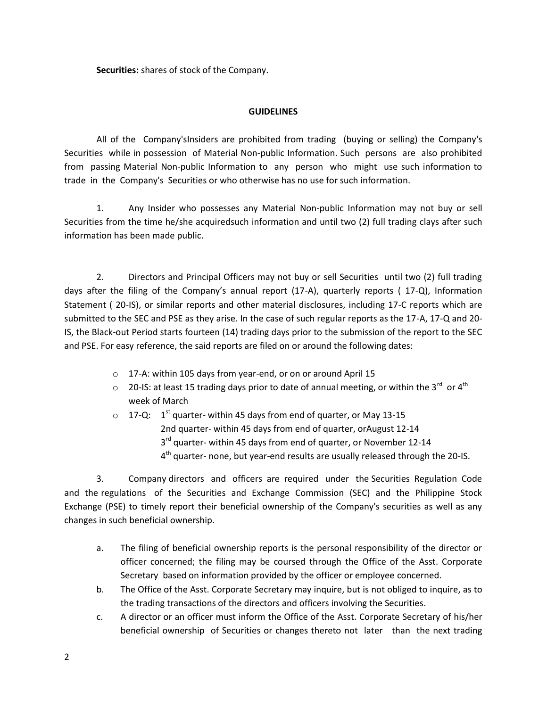**Securities:** shares of stock of the Company.

## **GUIDELINES**

All of the Company'sInsiders are prohibited from trading (buying or selling) the Company's Securities while in possession of Material Non-public Information. Such persons are also prohibited from passing Material Non-public Information to any person who might use such information to trade in the Company's Securities or who otherwise has no use for such information.

1. Any Insider who possesses any Material Non-public Information may not buy or sell Securities from the time he/she acquiredsuch information and until two (2) full trading clays after such information has been made public.

2. Directors and Principal Officers may not buy or sell Securities until two (2) full trading days after the filing of the Company's annual report (17-A), quarterly reports ( 17-Q), Information Statement ( 20-IS), or similar reports and other material disclosures, including 17-C reports which are submitted to the SEC and PSE as they arise. In the case of such regular reports as the 17-A, 17-Q and 20- IS, the Black-out Period starts fourteen (14) trading days prior to the submission of the report to the SEC and PSE. For easy reference, the said reports are filed on or around the following dates:

- o 17-A: within 105 days from year-end, or on or around April 15
- $\circ$  20-IS: at least 15 trading days prior to date of annual meeting, or within the 3<sup>rd</sup> or 4<sup>th</sup> week of March
- $\circ$   $\,$  17-Q:  $\,$  1<sup>st</sup> quarter- within 45 days from end of quarter, or May 13-15 2nd quarter- within 45 days from end of quarter, orAugust 12-14 3<sup>rd</sup> quarter- within 45 days from end of quarter, or November 12-14 4<sup>th</sup> quarter- none, but year-end results are usually released through the 20-IS.

3. Company directors and officers are required under the Securities Regulation Code and the regulations of the Securities and Exchange Commission (SEC) and the Philippine Stock Exchange (PSE) to timely report their beneficial ownership of the Company's securities as well as any changes in such beneficial ownership.

- a. The filing of beneficial ownership reports is the personal responsibility of the director or officer concerned; the filing may be coursed through the Office of the Asst. Corporate Secretary based on information provided by the officer or employee concerned.
- b. The Office of the Asst. Corporate Secretary may inquire, but is not obliged to inquire, as to the trading transactions of the directors and officers involving the Securities.
- c. A director or an officer must inform the Office of the Asst. Corporate Secretary of his/her beneficial ownership of Securities or changes thereto not later than the next trading